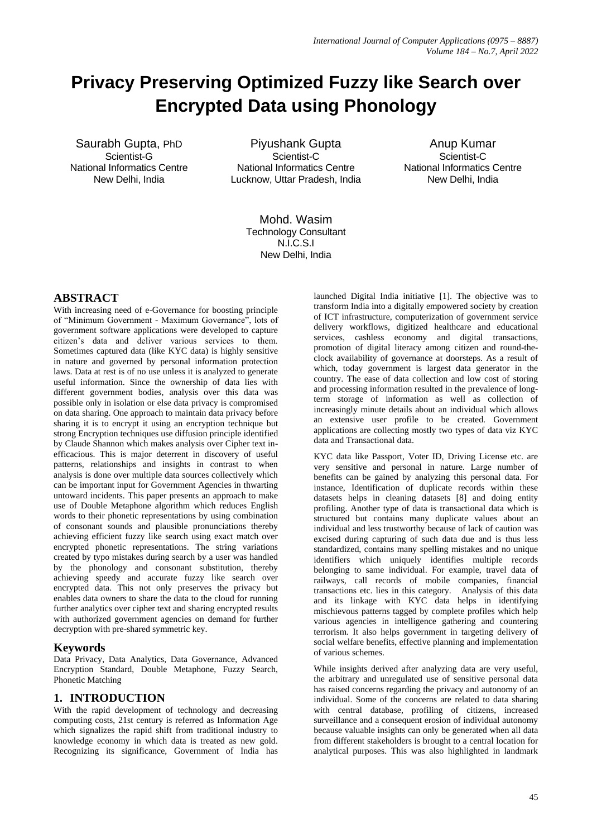# **Privacy Preserving Optimized Fuzzy like Search over Encrypted Data using Phonology**

Saurabh Gupta, PhD Scientist-G National Informatics Centre New Delhi, India

Piyushank Gupta Scientist-C National Informatics Centre Lucknow, Uttar Pradesh, India

Anup Kumar Scientist-C National Informatics Centre New Delhi, India

Mohd. Wasim Technology Consultant N.I.C.S.I New Delhi, India

## **ABSTRACT**

With increasing need of e-Governance for boosting principle of "Minimum Government - Maximum Governance", lots of government software applications were developed to capture citizen"s data and deliver various services to them. Sometimes captured data (like KYC data) is highly sensitive in nature and governed by personal information protection laws. Data at rest is of no use unless it is analyzed to generate useful information. Since the ownership of data lies with different government bodies, analysis over this data was possible only in isolation or else data privacy is compromised on data sharing. One approach to maintain data privacy before sharing it is to encrypt it using an encryption technique but strong Encryption techniques use diffusion principle identified by Claude Shannon which makes analysis over Cipher text inefficacious. This is major deterrent in discovery of useful patterns, relationships and insights in contrast to when analysis is done over multiple data sources collectively which can be important input for Government Agencies in thwarting untoward incidents. This paper presents an approach to make use of Double Metaphone algorithm which reduces English words to their phonetic representations by using combination of consonant sounds and plausible pronunciations thereby achieving efficient fuzzy like search using exact match over encrypted phonetic representations. The string variations created by typo mistakes during search by a user was handled by the phonology and consonant substitution, thereby achieving speedy and accurate fuzzy like search over encrypted data. This not only preserves the privacy but enables data owners to share the data to the cloud for running further analytics over cipher text and sharing encrypted results with authorized government agencies on demand for further decryption with pre-shared symmetric key.

## **Keywords**

Data Privacy, Data Analytics, Data Governance, Advanced Encryption Standard, Double Metaphone, Fuzzy Search, Phonetic Matching

## **1. INTRODUCTION**

With the rapid development of technology and decreasing computing costs, 21st century is referred as Information Age which signalizes the rapid shift from traditional industry to knowledge economy in which data is treated as new gold. Recognizing its significance, Government of India has

launched Digital India initiative [1]. The objective was to transform India into a digitally empowered society by creation of ICT infrastructure, computerization of government service delivery workflows, digitized healthcare and educational services, cashless economy and digital transactions, promotion of digital literacy among citizen and round-theclock availability of governance at doorsteps. As a result of which, today government is largest data generator in the country. The ease of data collection and low cost of storing and processing information resulted in the prevalence of longterm storage of information as well as collection of increasingly minute details about an individual which allows an extensive user profile to be created. Government applications are collecting mostly two types of data viz KYC data and Transactional data.

KYC data like Passport, Voter ID, Driving License etc. are very sensitive and personal in nature. Large number of benefits can be gained by analyzing this personal data. For instance, Identification of duplicate records within these datasets helps in cleaning datasets [8] and doing entity profiling. Another type of data is transactional data which is structured but contains many duplicate values about an individual and less trustworthy because of lack of caution was excised during capturing of such data due and is thus less standardized, contains many spelling mistakes and no unique identifiers which uniquely identifies multiple records belonging to same individual. For example, travel data of railways, call records of mobile companies, financial transactions etc. lies in this category. Analysis of this data and its linkage with KYC data helps in identifying mischievous patterns tagged by complete profiles which help various agencies in intelligence gathering and countering terrorism. It also helps government in targeting delivery of social welfare benefits, effective planning and implementation of various schemes.

While insights derived after analyzing data are very useful, the arbitrary and unregulated use of sensitive personal data has raised concerns regarding the privacy and autonomy of an individual. Some of the concerns are related to data sharing with central database, profiling of citizens, increased surveillance and a consequent erosion of individual autonomy because valuable insights can only be generated when all data from different stakeholders is brought to a central location for analytical purposes. This was also highlighted in landmark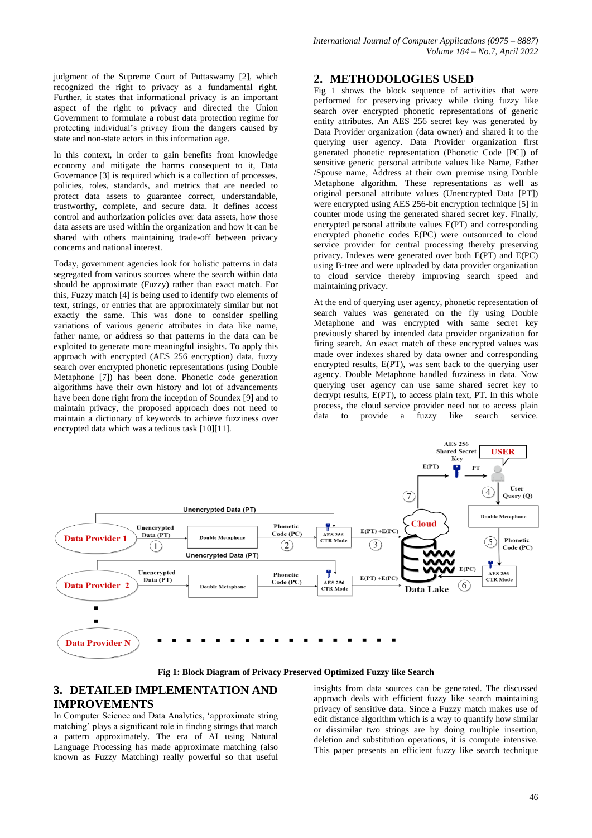judgment of the Supreme Court of Puttaswamy [2], which recognized the right to privacy as a fundamental right. Further, it states that informational privacy is an important aspect of the right to privacy and directed the Union Government to formulate a robust data protection regime for protecting individual"s privacy from the dangers caused by state and non-state actors in this information age.

In this context, in order to gain benefits from knowledge economy and mitigate the harms consequent to it, Data Governance [3] is required which is a collection of processes, policies, roles, standards, and metrics that are needed to protect data assets to guarantee correct, understandable, trustworthy, complete, and secure data. It defines access control and authorization policies over data assets, how those data assets are used within the organization and how it can be shared with others maintaining trade-off between privacy concerns and national interest.

Today, government agencies look for holistic patterns in data segregated from various sources where the search within data should be approximate (Fuzzy) rather than exact match. For this, Fuzzy match [4] is being used to identify two elements of text, strings, or entries that are approximately similar but not exactly the same. This was done to consider spelling variations of various generic attributes in data like name, father name, or address so that patterns in the data can be exploited to generate more meaningful insights. To apply this approach with encrypted (AES 256 encryption) data, fuzzy search over encrypted phonetic representations (using Double Metaphone [7]) has been done. Phonetic code generation algorithms have their own history and lot of advancements have been done right from the inception of Soundex [9] and to maintain privacy, the proposed approach does not need to maintain a dictionary of keywords to achieve fuzziness over encrypted data which was a tedious task [10][11].

## **2. METHODOLOGIES USED**

Fig 1 shows the block sequence of activities that were performed for preserving privacy while doing fuzzy like search over encrypted phonetic representations of generic entity attributes. An AES 256 secret key was generated by Data Provider organization (data owner) and shared it to the querying user agency. Data Provider organization first generated phonetic representation (Phonetic Code [PC]) of sensitive generic personal attribute values like Name, Father /Spouse name, Address at their own premise using Double Metaphone algorithm. These representations as well as original personal attribute values (Unencrypted Data [PT]) were encrypted using AES 256-bit encryption technique [5] in counter mode using the generated shared secret key. Finally, encrypted personal attribute values E(PT) and corresponding encrypted phonetic codes E(PC) were outsourced to cloud service provider for central processing thereby preserving privacy. Indexes were generated over both E(PT) and E(PC) using B-tree and were uploaded by data provider organization to cloud service thereby improving search speed and maintaining privacy.

At the end of querying user agency, phonetic representation of search values was generated on the fly using Double Metaphone and was encrypted with same secret key previously shared by intended data provider organization for firing search. An exact match of these encrypted values was made over indexes shared by data owner and corresponding encrypted results, E(PT), was sent back to the querying user agency. Double Metaphone handled fuzziness in data. Now querying user agency can use same shared secret key to decrypt results, E(PT), to access plain text, PT. In this whole process, the cloud service provider need not to access plain data to provide a fuzzy like search service.



**Fig 1: Block Diagram of Privacy Preserved Optimized Fuzzy like Search**

# **3. DETAILED IMPLEMENTATION AND IMPROVEMENTS**

In Computer Science and Data Analytics, "approximate string matching' plays a significant role in finding strings that match a pattern approximately. The era of AI using Natural Language Processing has made approximate matching (also known as Fuzzy Matching) really powerful so that useful

insights from data sources can be generated. The discussed approach deals with efficient fuzzy like search maintaining privacy of sensitive data. Since a Fuzzy match makes use of edit distance algorithm which is a way to quantify how similar or dissimilar two strings are by doing multiple insertion, deletion and substitution operations, it is compute intensive. This paper presents an efficient fuzzy like search technique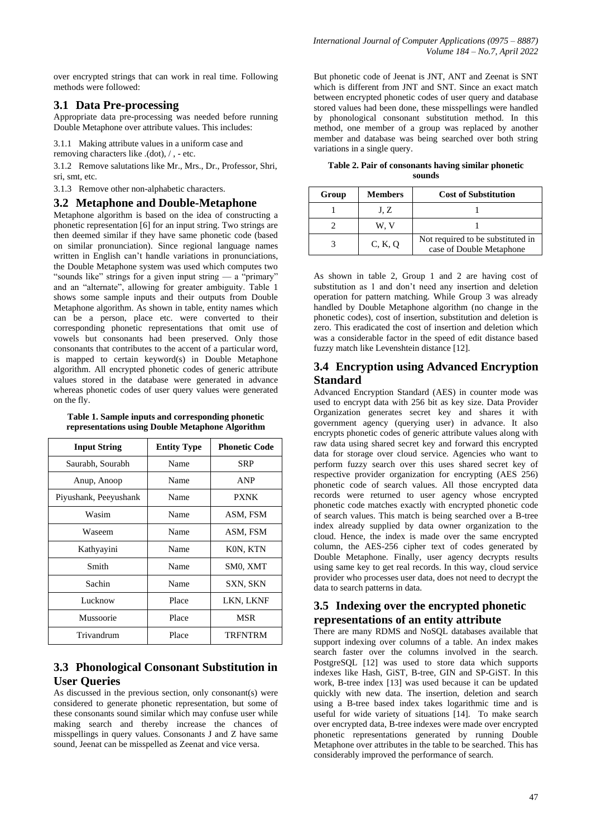over encrypted strings that can work in real time. Following methods were followed:

### **3.1 Data Pre-processing**

Appropriate data pre-processing was needed before running Double Metaphone over attribute values. This includes:

3.1.1 Making attribute values in a uniform case and

removing characters like .(dot), / , - etc.

3.1.2 Remove salutations like Mr., Mrs., Dr., Professor, Shri, sri, smt, etc.

3.1.3 Remove other non-alphabetic characters.

#### **3.2 Metaphone and Double-Metaphone**

Metaphone algorithm is based on the idea of constructing a phonetic representation [6] for an input string. Two strings are then deemed similar if they have same phonetic code (based on similar pronunciation). Since regional language names written in English can"t handle variations in pronunciations, the Double Metaphone system was used which computes two "sounds like" strings for a given input string — a "primary" and an "alternate", allowing for greater ambiguity. Table 1 shows some sample inputs and their outputs from Double Metaphone algorithm. As shown in table, entity names which can be a person, place etc. were converted to their corresponding phonetic representations that omit use of vowels but consonants had been preserved. Only those consonants that contributes to the accent of a particular word, is mapped to certain keyword(s) in Double Metaphone algorithm. All encrypted phonetic codes of generic attribute values stored in the database were generated in advance whereas phonetic codes of user query values were generated on the fly.

| Table 1. Sample inputs and corresponding phonetic |  |
|---------------------------------------------------|--|
| representations using Double Metaphone Algorithm  |  |

| <b>Input String</b>   | <b>Entity Type</b> | <b>Phonetic Code</b> |
|-----------------------|--------------------|----------------------|
| Saurabh, Sourabh      | Name               | <b>SRP</b>           |
| Anup, Anoop           | Name               | <b>ANP</b>           |
| Piyushank, Peeyushank | Name               | <b>PXNK</b>          |
| Wasim                 | Name               | ASM, FSM             |
| Waseem                | Name               | ASM, FSM             |
| Kathyayini            | Name               | KON, KTN             |
| Smith                 | Name               | SM0, XMT             |
| Sachin                | Name               | SXN, SKN             |
| Lucknow               | Place              | LKN, LKNF            |
| Mussoorie             | Place              | MSR                  |
| Trivandrum            | Place              | <b>TRFNTRM</b>       |

# **3.3 Phonological Consonant Substitution in User Queries**

As discussed in the previous section, only consonant(s) were considered to generate phonetic representation, but some of these consonants sound similar which may confuse user while making search and thereby increase the chances of misspellings in query values. Consonants J and Z have same sound, Jeenat can be misspelled as Zeenat and vice versa.

But phonetic code of Jeenat is JNT, ANT and Zeenat is SNT which is different from JNT and SNT. Since an exact match between encrypted phonetic codes of user query and database stored values had been done, these misspellings were handled by phonological consonant substitution method. In this method, one member of a group was replaced by another member and database was being searched over both string variations in a single query.

**Table 2. Pair of consonants having similar phonetic sounds**

| Group | <b>Members</b> | <b>Cost of Substitution</b>                                   |
|-------|----------------|---------------------------------------------------------------|
|       | J. Z           |                                                               |
|       | w. v           |                                                               |
|       | C, K, Q        | Not required to be substituted in<br>case of Double Metaphone |

As shown in table 2, Group 1 and 2 are having cost of substitution as 1 and don"t need any insertion and deletion operation for pattern matching. While Group 3 was already handled by Double Metaphone algorithm (no change in the phonetic codes), cost of insertion, substitution and deletion is zero. This eradicated the cost of insertion and deletion which was a considerable factor in the speed of edit distance based fuzzy match like Levenshtein distance [12].

## **3.4 Encryption using Advanced Encryption Standard**

Advanced Encryption Standard (AES) in counter mode was used to encrypt data with 256 bit as key size. Data Provider Organization generates secret key and shares it with government agency (querying user) in advance. It also encrypts phonetic codes of generic attribute values along with raw data using shared secret key and forward this encrypted data for storage over cloud service. Agencies who want to perform fuzzy search over this uses shared secret key of respective provider organization for encrypting (AES 256) phonetic code of search values. All those encrypted data records were returned to user agency whose encrypted phonetic code matches exactly with encrypted phonetic code of search values. This match is being searched over a B-tree index already supplied by data owner organization to the cloud. Hence, the index is made over the same encrypted column, the AES-256 cipher text of codes generated by Double Metaphone. Finally, user agency decrypts results using same key to get real records. In this way, cloud service provider who processes user data, does not need to decrypt the data to search patterns in data.

# **3.5 Indexing over the encrypted phonetic representations of an entity attribute**

There are many RDMS and NoSQL databases available that support indexing over columns of a table. An index makes search faster over the columns involved in the search. PostgreSQL [12] was used to store data which supports indexes like Hash, GiST, B-tree, GIN and SP-GiST. In this work, B-tree index [13] was used because it can be updated quickly with new data. The insertion, deletion and search using a B-tree based index takes logarithmic time and is useful for wide variety of situations [14]. To make search over encrypted data, B-tree indexes were made over encrypted phonetic representations generated by running Double Metaphone over attributes in the table to be searched. This has considerably improved the performance of search.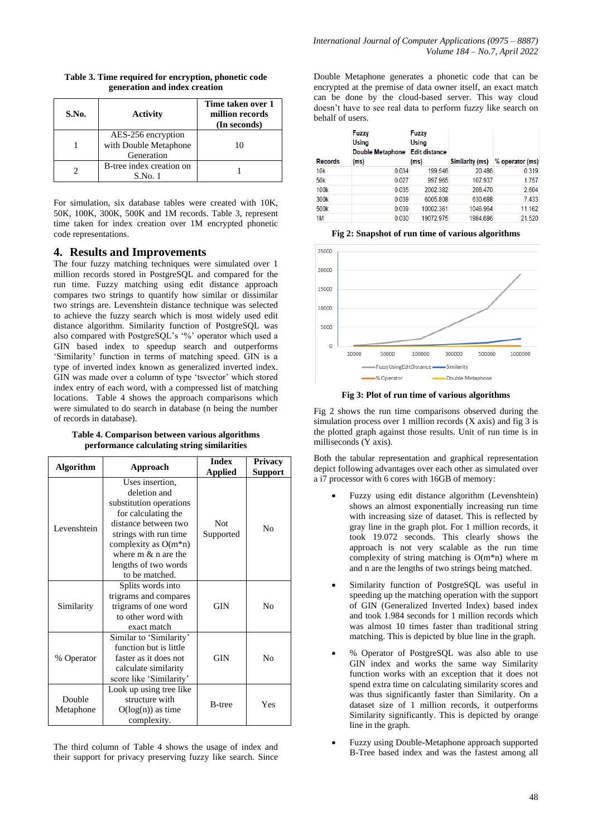| S.No. | <b>Activity</b>                                           | Time taken over 1<br>million records<br>(In seconds) |
|-------|-----------------------------------------------------------|------------------------------------------------------|
|       | AES-256 encryption<br>with Double Metaphone<br>Generation | 10                                                   |
|       | B-tree index creation on<br>$S$ . No. $1$                 |                                                      |

**Table 3. Time required for encryption, phonetic code generation and index creation** 

For simulation, six database tables were created with 10K, 50K, 100K, 300K, 500K and 1M records. Table 3, represent time taken for index creation over 1M encrypted phonetic code representations.

## **4. Results and Improvements**

The four fuzzy matching techniques were simulated over 1 million records stored in PostgreSQL and compared for the run time. Fuzzy matching using edit distance approach compares two strings to quantify how similar or dissimilar two strings are. Levenshtein distance technique was selected to achieve the fuzzy search which is most widely used edit distance algorithm. Similarity function of PostgreSQL was also compared with PostgreSQL's '%' operator which used a GIN based index to speedup search and outperforms "Similarity" function in terms of matching speed. GIN is a type of inverted index known as generalized inverted index. GIN was made over a column of type 'tsvector' which stored index entry of each word, with a compressed list of matching locations. Table 4 shows the approach comparisons which were simulated to do search in database (n being the number of records in database).

**Table 4. Comparison between various algorithms performance calculating string similarities**

| <b>Algorithm</b><br>Approach                                                                                                                |                                                                                                                                                                                                                                  | <b>Index</b><br><b>Applied</b> | <b>Privacy</b><br><b>Support</b> |
|---------------------------------------------------------------------------------------------------------------------------------------------|----------------------------------------------------------------------------------------------------------------------------------------------------------------------------------------------------------------------------------|--------------------------------|----------------------------------|
| Levenshtein                                                                                                                                 | Uses insertion.<br>deletion and<br>substitution operations<br>for calculating the<br>distance between two<br>strings with run time<br>complexity as $O(m*n)$<br>where $m \& n$ are the<br>lengths of two words<br>to be matched. | Not<br>Supported               | No                               |
| Similarity                                                                                                                                  | Splits words into<br>trigrams and compares<br>trigrams of one word<br>to other word with<br>exact match                                                                                                                          |                                | No                               |
| Similar to 'Similarity'<br>function but is little<br>faster as it does not<br>% Operator<br>calculate similarity<br>score like 'Similarity' |                                                                                                                                                                                                                                  | <b>GIN</b>                     | No                               |
| Look up using tree like<br>structure with<br>Double<br>$O(log(n))$ as time<br>Metaphone<br>complexity.                                      |                                                                                                                                                                                                                                  | <b>B</b> -tree                 | Yes                              |

The third column of Table 4 shows the usage of index and their support for privacy preserving fuzzy like search. Since

Double Metaphone generates a phonetic code that can be encrypted at the premise of data owner itself, an exact match can be done by the cloud-based server. This way cloud doesn"t have to see real data to perform fuzzy like search on behalf of users.

| <b>Records</b>   | <b>Fuzzy</b><br><b>Using</b><br><b>Double Metaphone</b><br>(ms) | <b>Fuzzy</b><br><b>Using</b><br><b>Edit distance</b><br>(ms) | Similarity (ms) | % operator (ms) |
|------------------|-----------------------------------------------------------------|--------------------------------------------------------------|-----------------|-----------------|
| 10k              | 0.034                                                           | 199.546                                                      | 20.486          | 0.319           |
| 50 <sub>k</sub>  | 0.027                                                           | 997.965                                                      | 107.937         | 1.757           |
| 100 <sub>k</sub> | 0.035                                                           | 2002.382                                                     | 206.470         | 2.604           |
| 300 <sub>k</sub> | 0.039                                                           | 6005.808                                                     | 630.688         | 7.433           |
| 500 <sub>k</sub> | 0.039                                                           | 10002.361                                                    | 1046.964        | 11.162          |
| 1M               | 0.030                                                           | 19072.975                                                    | 1984.686        | 21.520          |

**Fig 2: Snapshot of run time of various algorithms**



**Fig 3: Plot of run time of various algorithms**

Fig 2 shows the run time comparisons observed during the simulation process over 1 million records  $(X \text{ axis})$  and fig 3 is the plotted graph against those results. Unit of run time is in milliseconds (Y axis).

Both the tabular representation and graphical representation depict following advantages over each other as simulated over a i7 processor with 6 cores with 16GB of memory:

- Fuzzy using edit distance algorithm (Levenshtein) shows an almost exponentially increasing run time with increasing size of dataset. This is reflected by gray line in the graph plot. For 1 million records, it took 19.072 seconds. This clearly shows the approach is not very scalable as the run time complexity of string matching is O(m\*n) where m and n are the lengths of two strings being matched.
- Similarity function of PostgreSQL was useful in speeding up the matching operation with the support of GIN (Generalized Inverted Index) based index and took 1.984 seconds for 1 million records which was almost 10 times faster than traditional string matching. This is depicted by blue line in the graph.
- % Operator of PostgreSQL was also able to use GIN index and works the same way Similarity function works with an exception that it does not spend extra time on calculating similarity scores and was thus significantly faster than Similarity. On a dataset size of 1 million records, it outperforms Similarity significantly. This is depicted by orange line in the graph.
- Fuzzy using Double-Metaphone approach supported B-Tree based index and was the fastest among all